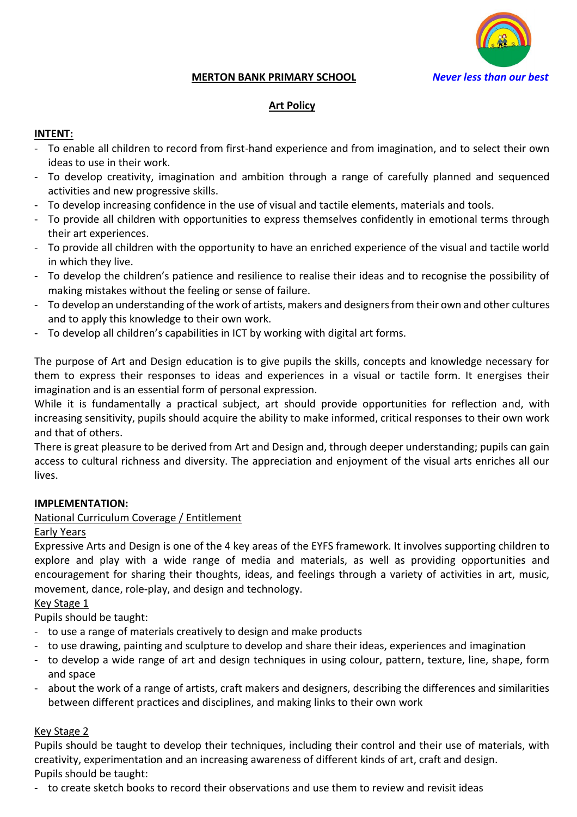

#### **MERTON BANK PRIMARY SCHOOL** *Never less than our best*

### **Art Policy**

#### **INTENT:**

- To enable all children to record from first-hand experience and from imagination, and to select their own ideas to use in their work.
- To develop creativity, imagination and ambition through a range of carefully planned and sequenced activities and new progressive skills.
- To develop increasing confidence in the use of visual and tactile elements, materials and tools.
- To provide all children with opportunities to express themselves confidently in emotional terms through their art experiences.
- To provide all children with the opportunity to have an enriched experience of the visual and tactile world in which they live.
- To develop the children's patience and resilience to realise their ideas and to recognise the possibility of making mistakes without the feeling or sense of failure.
- To develop an understanding of the work of artists, makers and designers from their own and other cultures and to apply this knowledge to their own work.
- To develop all children's capabilities in ICT by working with digital art forms.

The purpose of Art and Design education is to give pupils the skills, concepts and knowledge necessary for them to express their responses to ideas and experiences in a visual or tactile form. It energises their imagination and is an essential form of personal expression.

While it is fundamentally a practical subject, art should provide opportunities for reflection and, with increasing sensitivity, pupils should acquire the ability to make informed, critical responses to their own work and that of others.

There is great pleasure to be derived from Art and Design and, through deeper understanding; pupils can gain access to cultural richness and diversity. The appreciation and enjoyment of the visual arts enriches all our lives.

#### **IMPLEMENTATION:**

### National Curriculum Coverage / Entitlement

#### Early Years

Expressive Arts and Design is one of the 4 key areas of the EYFS framework. It involves supporting children to explore and play with a wide range of media and materials, as well as providing opportunities and encouragement for sharing their thoughts, ideas, and feelings through a variety of activities in art, music, movement, dance, role-play, and design and technology.

Key Stage 1

Pupils should be taught:

- to use a range of materials creatively to design and make products
- to use drawing, painting and sculpture to develop and share their ideas, experiences and imagination
- to develop a wide range of art and design techniques in using colour, pattern, texture, line, shape, form and space
- about the work of a range of artists, craft makers and designers, describing the differences and similarities between different practices and disciplines, and making links to their own work

#### Key Stage 2

Pupils should be taught to develop their techniques, including their control and their use of materials, with creativity, experimentation and an increasing awareness of different kinds of art, craft and design. Pupils should be taught:

- to create sketch books to record their observations and use them to review and revisit ideas